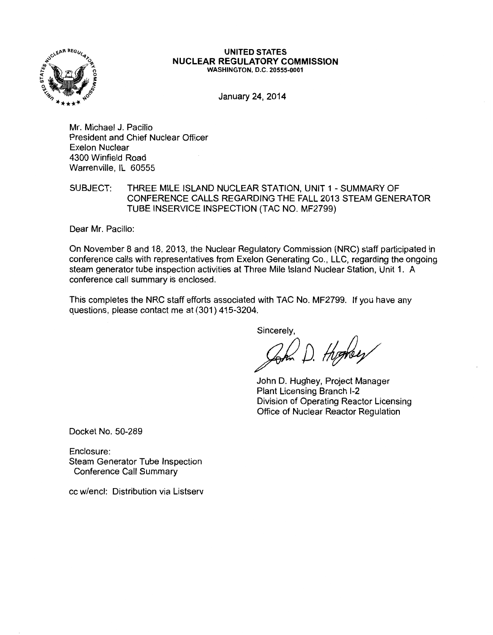

#### UNITED STATES NUCLEAR REGULATORY COMMISSION WASHINGTON, D.C. 20555-0001

January 24, 2014

Mr. Michael J. Pacilio President and Chief Nuclear Officer Exelon Nuclear 4300 Winfield Road Warrenville, IL 60555

SUBJECT: THREE MILE ISLAND NUCLEAR STATION, UNIT 1 -SUMMARY OF CONFERENCE CALLS REGARDING THE FALL 2013 STEAM GENERATOR TUBE INSERVICE INSPECTION (TAC NO. MF2799)

Dear Mr. Pacilio:

On November 8 and 18, 2013, the Nuclear Regulatory Commission (NRC) staff participated in conference calls with representatives from Exelon Generating Co., LLC, regarding the ongoing steam generator tube inspection activities at Three Mile Island Nuclear Station, Unit 1. A conference call summary is enclosed.

This completes the NRC staff efforts associated with TAC No. MF2799. If you have any questions, please contact me at (301) 415-3204.

Sincerely,

Zom D. Highey

John D. Hughey, Project Manager Plant Licensing Branch 1-2 Division of Operating Reactor Licensing Office of Nuclear Reactor Regulation

Docket No. 50-289

Enclosure: Steam Generator Tube Inspection Conference Call Summary

cc w/encl: Distribution via Listserv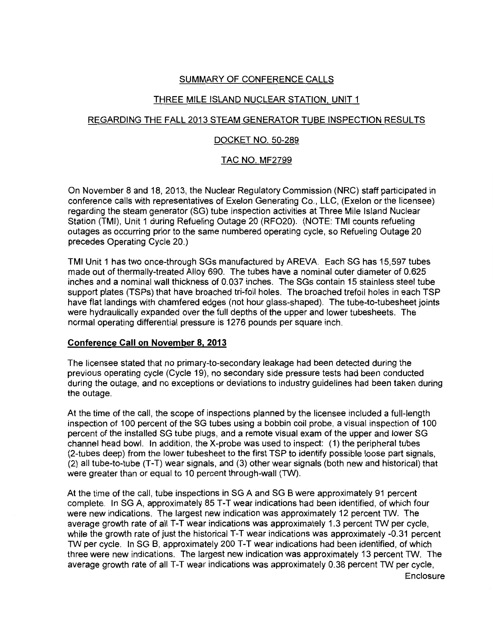# SUMMARY OF CONFERENCE CALLS

# THREE MILE ISLAND NUCLEAR STATION, UNIT 1

# REGARDING THE FALL 2013 STEAM GENERATOR TUBE INSPECTION RESULTS

## DOCKET NO. 50-289

## TAC NO. MF2799

On November 8 and 18, 2013, the Nuclear Regulatory Commission (NRC) staff participated in conference calls with representatives of Exelon Generating Co., LLC, (Exelon or the licensee) regarding the steam generator (SG) tube inspection activities at Three Mile Island Nuclear Station (TMI), Unit 1 during Refueling Outage 20 (RF020). (NOTE: TMI counts refueling outages as occurring prior to the same numbered operating cycle, so Refueling Outage 20 precedes Operating Cycle 20.)

TMI Unit 1 has two once-through SGs manufactured by AREVA. Each SG has 15,597 tubes made out of thermally-treated Alloy 690. The tubes have a nominal outer diameter of 0.625 inches and a nominal wall thickness of 0.037 inches. The SGs contain 15 stainless steel tube support plates (TSPs) that have broached tri-foil holes. The broached trefoil holes in each TSP have flat landings with chamfered edges (not hour glass-shaped). The tube-to-tubesheet joints were hydraulically expanded over the full depths of the upper and lower tubesheets. The normal operating differential pressure is 1276 pounds per square inch.

## **Conference Call on November 8, 2013**

The licensee stated that no primary-to-secondary leakage had been detected during the previous operating cycle (Cycle 19), no secondary side pressure tests had been conducted during the outage, and no exceptions or deviations to industry guidelines had been taken during the outage.

At the time of the call, the scope of inspections planned by the licensee included a full-length inspection of 100 percent of the SG tubes using a bobbin coil probe, a visual inspection of 100 percent of the installed SG tube plugs, and a remote visual exam of the upper and lower SG channel head bowl. In addition, the X-probe was used to inspect: (1) the peripheral tubes (2-tubes deep) from the lower tubesheet to the first TSP to identify possible loose part signals, (2) all tube-to-tube (T-T) wear signals, and (3) other wear signals (both new and historical) that were greater than or equal to 10 percent through-wall (TW).

At the time of the call, tube inspections in SG A and SG 8 were approximately 91 percent complete. In SG A, approximately 85 T-T wear indications had been identified, of which four were new indications. The largest new indication was approximately 12 percent TW. The average growth rate of all T-T wear indications was approximately 1.3 percent TW per cycle, while the growth rate of just the historical T-T wear indications was approximately -0.31 percent TW per cycle. In SG B, approximately 200 T-T wear indications had been identified, of which three were new indications. The largest new indication was approximately 13 percent TW. The average growth rate of all T-T wear indications was approximately 0.36 percent TW per cycle,

**Enclosure**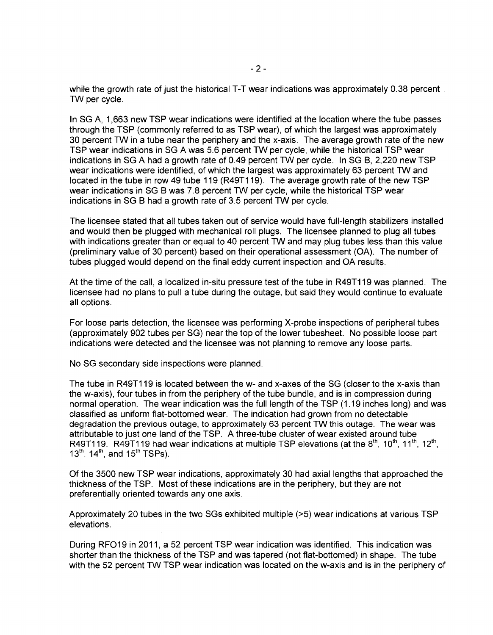while the growth rate of just the historical T-T wear indications was approximately 0.38 percent TW per cycle.

In SG A, 1,663 new TSP wear indications were identified at the location where the tube passes through the TSP (commonly referred to as TSP wear), of which the largest was approximately 30 percent TW in a tube near the periphery and the x-axis. The average growth rate of the new TSP wear indications in SG A was 5.6 percent TW per cycle, while the historical TSP wear indications in SG A had a growth rate of 0.49 percent TW per cycle. In SG B, 2,220 new TSP wear indications were identified, of which the largest was approximately 63 percent TW and located in the tube in row 49 tube 119 (R49T119). The average growth rate of the new TSP wear indications in SG B was 7.8 percent TW per cycle, while the historical TSP wear indications in SG B had a growth rate of 3.5 percent TW per cycle.

The licensee stated that all tubes taken out of service would have full-length stabilizers installed and would then be plugged with mechanical roll plugs. The licensee planned to plug all tubes with indications greater than or equal to 40 percent TW and may plug tubes less than this value (preliminary value of 30 percent) based on their operational assessment (OA). The number of tubes plugged would depend on the final eddy current inspection and OA results.

At the time of the call, a localized in-situ pressure test of the tube in R49T119 was planned. The licensee had no plans to pull a tube during the outage, but said they would continue to evaluate all options.

For loose parts detection, the licensee was performing X-probe inspections of peripheral tubes (approximately 902 tubes per SG) near the top of the lower tubesheet. No possible loose part indications were detected and the licensee was not planning to remove any loose parts.

No SG secondary side inspections were planned.

The tube in R49T119 is located between the w- and x-axes of the SG (closer to the x-axis than the w-axis), four tubes in from the periphery of the tube bundle, and is in compression during normal operation. The wear indication was the full length of the TSP (1.19 inches long) and was classified as uniform flat-bottomed wear. The indication had grown from no detectable degradation the previous outage, to approximately 63 percent TW this outage. The wear was attributable to just one land of the TSP. A three-tube cluster of wear existed around tube R49T119. R49T119 had wear indications at multiple TSP elevations (at the  $8<sup>th</sup>$ , 10<sup>th</sup>, 12<sup>th</sup>, 12<sup>th</sup>,  $13^{th}$ ,  $14^{th}$ , and  $15^{th}$  TSPs).

Of the 3500 new TSP wear indications, approximately 30 had axial lengths that approached the thickness of the TSP. Most of these indications are in the periphery, but they are not preferentially oriented towards any one axis.

Approximately 20 tubes in the two SGs exhibited multiple (>5) wear indications at various TSP elevations.

During RF019 in 2011, a 52 percent TSP wear indication was identified. This indication was shorter than the thickness of the TSP and was tapered (not flat-bottomed) in shape. The tube with the 52 percent TW TSP wear indication was located on the w-axis and is in the periphery of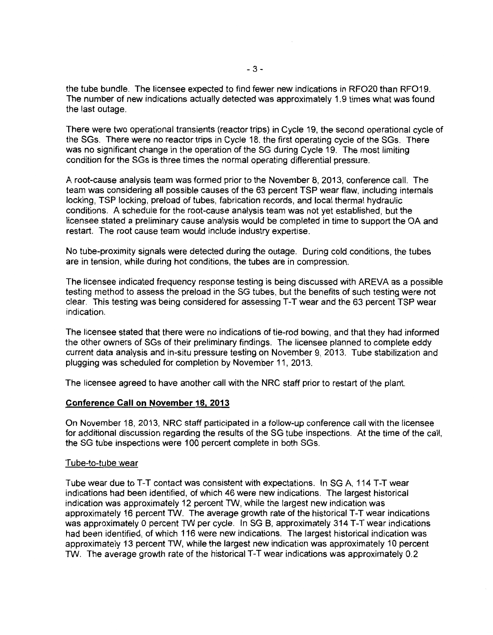the tube bundle. The licensee expected to find fewer new indications in RF020 than RF019. The number of new indications actually detected was approximately 1.9 times what was found the last outage.

There were two operational transients (reactor trips) in Cycle 19, the second operational cycle of the SGs. There were no reactor trips in Cycle 18, the first operating cycle of the SGs. There was no significant change in the operation of the SG during Cycle 19. The most limiting condition for the SGs is three times the normal operating differential pressure.

A root-cause analysis team was formed prior to the November 8, 2013, conference call. The team was considering all possible causes of the 63 percent TSP wear flaw, including internals locking, TSP locking, preload of tubes, fabrication records, and local thermal hydraulic conditions. A schedule for the root-cause analysis team was not yet established, but the licensee stated a preliminary cause analysis would be completed in time to support the OA and restart. The root cause team would include industry expertise.

No tube-proximity signals were detected during the outage. During cold conditions, the tubes are in tension, while during hot conditions, the tubes are in compression.

The licensee indicated frequency response testing is being discussed with AREVA as a possible testing method to assess the preload in the SG tubes, but the benefits of such testing were not clear. This testing was being considered for assessing T-T wear and the 63 percent TSP wear indication.

The licensee stated that there were no indications of tie-rod bowing, and that they had informed the other owners of SGs of their preliminary findings. The licensee planned to complete eddy current data analysis and in-situ pressure testing on November 9, 2013. Tube stabilization and plugging was scheduled for completion by November 11, 2013.

The licensee agreed to have another call with the NRC staff prior to restart of the plant.

### **Conference Call on November 18, 2013**

On November 18, 2013, NRC staff participated in a follow-up conference call with the licensee for additional discussion regarding the results of the SG tube inspections. At the time of the call, the SG tube inspections were 100 percent complete in both SGs.

### Tube-to-tube wear

Tube wear due to T-T contact was consistent with expectations. In SG A, 114 T-T wear indications had been identified, of which 46 were new indications. The largest historical indication was approximately 12 percent TW, while the largest new indication was approximately 16 percent TW. The average growth rate of the historical T-T wear indications was approximately 0 percent TW per cycle. In SG B, approximately 314 T-T wear indications had been identified, of which 116 were new indications. The largest historical indication was approximately 13 percent TW, while the largest new indication was approximately 10 percent TW. The average growth rate of the historical T-T wear indications was approximately 0.2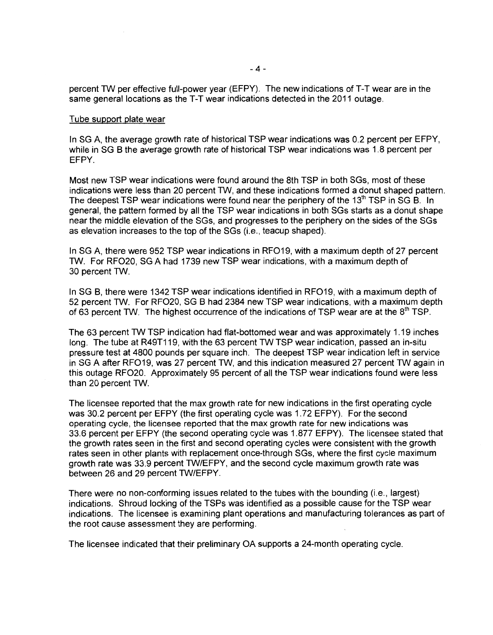percent TW per effective full-power year (EFPY). The new indications of T-T wear are in the same general locations as the T-T wear indications detected in the 2011 outage.

#### Tube support plate wear

In SG A, the average growth rate of historical TSP wear indications was 0.2 percent per EFPY, while in SG B the average growth rate of historical TSP wear indications was 1.8 percent per EFPY.

Most new TSP wear indications were found around the 8th TSP in both SGs, most of these indications were less than 20 percent TW, and these indications formed a donut shaped pattern. The deepest TSP wear indications were found near the periphery of the  $13<sup>th</sup>$  TSP in SG B. In general, the pattern formed by all the TSP wear indications in both SGs starts as a donut shape near the middle elevation of the SGs, and progresses to the periphery on the sides of the SGs as elevation increases to the top of the SGs (i.e., teacup shaped).

In SG A, there were 952 TSP wear indications in RF019, with a maximum depth of 27 percent TW. For RF020, SG A had 1739 new TSP wear indications, with a maximum depth of 30 percent TW.

In SG B, there were 1342 TSP wear indications identified in RF019, with a maximum depth of 52 percent TW. For RF020, SG B had 2384 new TSP wear indications, with a maximum depth of 63 percent TW. The highest occurrence of the indications of TSP wear are at the  $8<sup>th</sup>$  TSP.

The 63 percent TW TSP indication had flat-bottomed wear and was approximately 1.19 inches long. The tube at R49T119, with the 63 percent TW TSP wear indication, passed an in-situ pressure test at 4800 pounds per square inch. The deepest TSP wear indication left in service in SG A after RF019, was 27 percent TW, and this indication measured 27 percent TW again in this outage RF020. Approximately 95 percent of all the TSP wear indications found were less than 20 percent TW.

The licensee reported that the max growth rate for new indications in the first operating cycle was 30.2 percent per EFPY (the first operating cycle was 1. 72 EFPY). For the second operating cycle, the licensee reported that the max growth rate for new indications was 33.6 percent per EFPY (the second operating cycle was 1.877 EFPY). The licensee stated that the growth rates seen in the first and second operating cycles were consistent with the growth rates seen in other plants with replacement once-through SGs, where the first cycle maximum growth rate was 33.9 percent TW/EFPY, and the second cycle maximum growth rate was between 26 and 29 percent TW/EFPY.

There were no non-conforming issues related to the tubes with the bounding (i.e., largest) indications. Shroud locking of the TSPs was identified as a possible cause for the TSP wear indications. The licensee is examining plant operations and manufacturing tolerances as part of the root cause assessment they are performing.

The licensee indicated that their preliminary OA supports a 24-month operating cycle.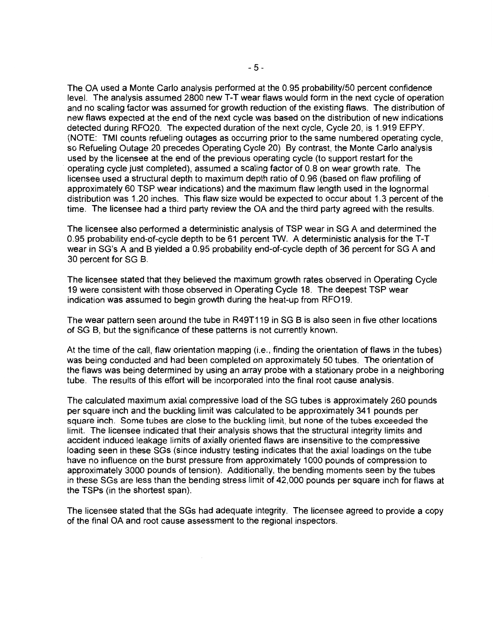The OA used a Monte Carlo analysis performed at the 0.95 probability/50 percent confidence level. The analysis assumed 2800 new T-T wear flaws would form in the next cycle of operation and no scaling factor was assumed for growth reduction of the existing flaws. The distribution of new flaws expected at the end of the next cycle was based on the distribution of new indications detected during RF020. The expected duration of the next cycle, Cycle 20, is 1.919 EFPY. (NOTE: TMI counts refueling outages as occurring prior to the same numbered operating cycle, so Refueling Outage 20 precedes Operating Cycle 20) By contrast, the Monte Carlo analysis used by the licensee at the end of the previous operating cycle (to support restart for the operating cycle just completed), assumed a scaling factor of 0.8 on wear growth rate. The licensee used a structural depth to maximum depth ratio of 0.96 (based on flaw profiling of approximately 60 TSP wear indications) and the maximum flaw length used in the lognormal distribution was 1.20 inches. This flaw size would be expected to occur about 1.3 percent of the time. The licensee had a third party review the OA and the third party agreed with the results.

The licensee also performed a deterministic analysis of TSP wear in SG A and determined the 0.95 probability end-of-cycle depth to be 61 percent TW. A deterministic analysis for the T-T wear in SG's A and B yielded a 0.95 probability end-of-cycle depth of 36 percent for SG A and 30 percent for SG B.

The licensee stated that they believed the maximum growth rates observed in Operating Cycle 19 were consistent with those observed in Operating Cycle 18. The deepest TSP wear indication was assumed to begin growth during the heat-up from RF019.

The wear pattern seen around the tube in R49T119 in SG B is also seen in five other locations of SG B, but the significance of these patterns is not currently known.

At the time of the call, flaw orientation mapping (i.e., finding the orientation of flaws in the tubes) was being conducted and had been completed on approximately 50 tubes. The orientation of the flaws was being determined by using an array probe with a stationary probe in a neighboring tube. The results of this effort will be incorporated into the final root cause analysis.

The calculated maximum axial compressive load of the SG tubes is approximately 260 pounds per square inch and the buckling limit was calculated to be approximately 341 pounds per square inch. Some tubes are close to the buckling limit, but none of the tubes exceeded the limit. The licensee indicated that their analysis shows that the structural integrity limits and accident induced leakage limits of axially oriented flaws are insensitive to the compressive loading seen in these SGs (since industry testing indicates that the axial loadings on the tube have no influence on the burst pressure from approximately 1000 pounds of compression to approximately 3000 pounds of tension). Additionally, the bending moments seen by the tubes in these SGs are less than the bending stress limit of 42,000 pounds per square inch for flaws at the TSPs (in the shortest span).

The licensee stated that the SGs had adequate integrity. The licensee agreed to provide a copy of the final OA and root cause assessment to the regional inspectors.